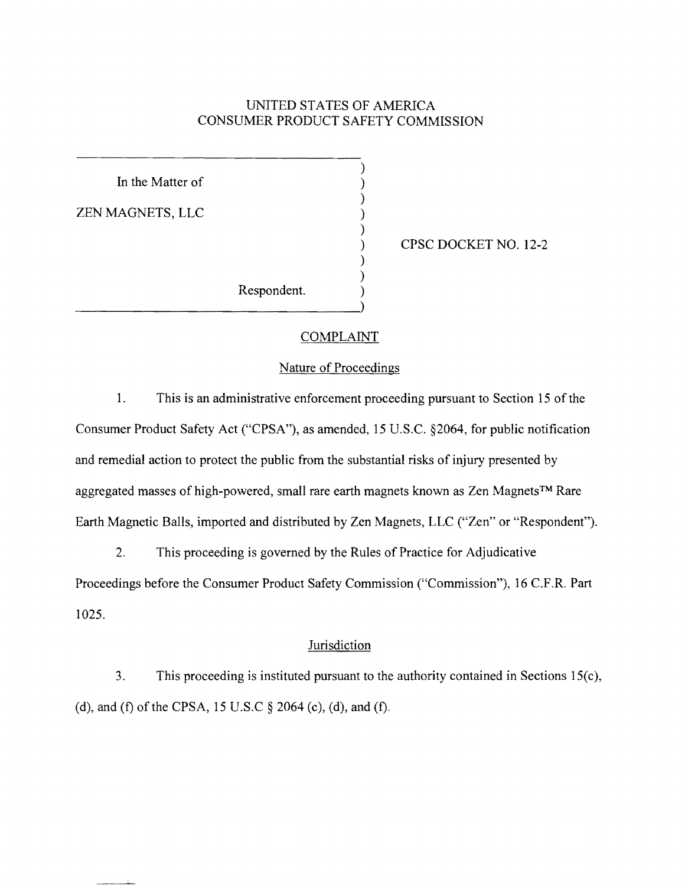# UNITED STATES OF AMERICA CONSUMER PRODUCT SAFETY COMMISSION

)

)

)

) )

In the Matter of ZEN MAGNETS, LLC ) Respondent. ) -------------------------------)

) CPSC DOCKET NO. 12-2

#### COMPLAINT

#### Nature of Proceedings

1. This is an administrative enforcement proceeding pursuant to Section 15 of the Consumer Product Safety Act ("CPSA"), as amended, 15 U.S.C. §2064, for public notification and remedial action to protect the public from the substantial risks of injury presented by aggregated masses of high-powered, small rare earth magnets known as Zen Magnets™ Rare Earth Magnetic Balls, imported and distributed by Zen Magnets, LLC ("Zen" or "Respondent").

2. This proceeding is governed by the Rules of Practice for Adjudicative Proceedings before the Consumer Product Safety Commission ("Commission"), 16 C.F.R. Part 1025.

#### **Jurisdiction**

3. This proceeding is instituted pursuant to the authority contained in Sections 15(c), (d), and (f) of the CPSA, 15 U.S.C  $\S$  2064 (c), (d), and (f).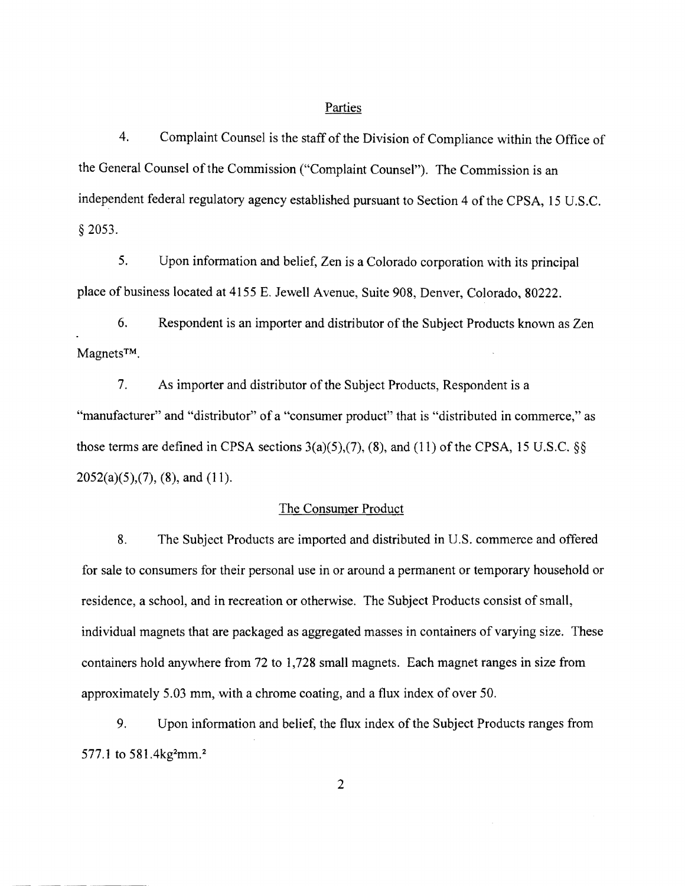#### Parties

4. Complaint Counsel is the staff of the Division of Compliance within the Office of the General Counsel of the Commission ("Complaint Counsel"). The Commission is an independent federal regulatory agency established pursuant to Section 4 of the CPSA, 15 U.S.C. § 2053.

5. Upon information and belief, Zen is a Colorado corporation with its principal place of business located at 4155 E. Jewell Avenue, Suite 908, Denver, Colorado, 80222.

6. Respondent is an importer and distributor of the Subject Products known as Zen MagnetsTM.

7. As importer and distributor of the Subject Products, Respondent is a "manufacturer" and "distributor" of a "consumer product" that is "distributed in commerce," as those terms are defined in CPSA sections  $3(a)(5),(7),(8)$ , and  $(11)$  of the CPSA, 15 U.S.C. §§  $2052(a)(5),(7)$ , (8), and (11).

#### The Consumer Product

8. The Subject Products are imported and distributed in U.S. commerce and offered for sale to consumers for their personal use in or around a permanent or temporary household or residence, a school, and in recreation or otherwise. The Subject Products consist of small, individual magnets that are packaged as aggregated masses in containers of varying size. These containers hold anywhere from 72 to 1,728 small magnets. Each magnet ranges in size from approximately 5.03 mm, with a chrome coating, and a flux index of over 50.

9. Upon information and belief, the flux index of the Subject Products ranges from 577.1 to 581.4 $kg<sup>2</sup>mm.<sup>2</sup>$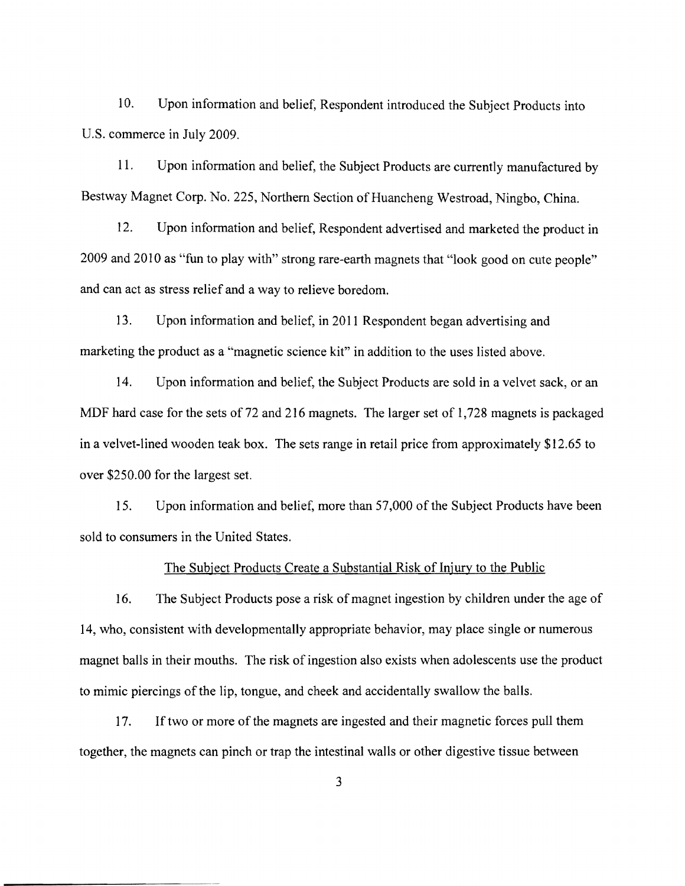10. Upon information and belief, Respondent introduced the Subject Products into U.S. commerce in July 2009.

11. Upon information and belief, the Subject Products are currently manufactured by Bestway Magnet Corp. No. 225, Northern Section of Huancheng Westroad, Ningbo, China.

12. Upon information and belief, Respondent advertised and marketed the product in 2009 and 2010 as "fun to play with" strong rare-earth magnets that "look good on cute people" and can act as stress relief and a way to relieve boredom.

13. Upon information and belief, in 2011 Respondent began advertising and marketing the product as a "magnetic science kit" in addition to the uses listed above.

14. Upon information and belief, the Subject Products are sold in a velvet sack, or an MDF hard case for the sets of 72 and 216 magnets. The larger set of 1,728 magnets is packaged in a velvet-lined wooden teak box. The sets range in retail price from approximately \$12.65 to over \$250.00 for the largest set.

15. Upon information and belief, more than 57,000 of the Subject Products have been sold to consumers in the United States.

#### The Subject Products Create a Substantial Risk of Injury to the Public

16. The Subject Products pose a risk of magnet ingestion by children under the age of 14, who, consistent with developmentally appropriate behavior, may place single or numerous magnet balls in their mouths. The risk of ingestion also exists when adolescents use the product to mimic piercings of the lip, tongue, and cheek and accidentally swallow the balls.

17. If two or more of the magnets are ingested and their magnetic forces pull them together, the magnets can pinch or trap the intestinal walls or other digestive tissue between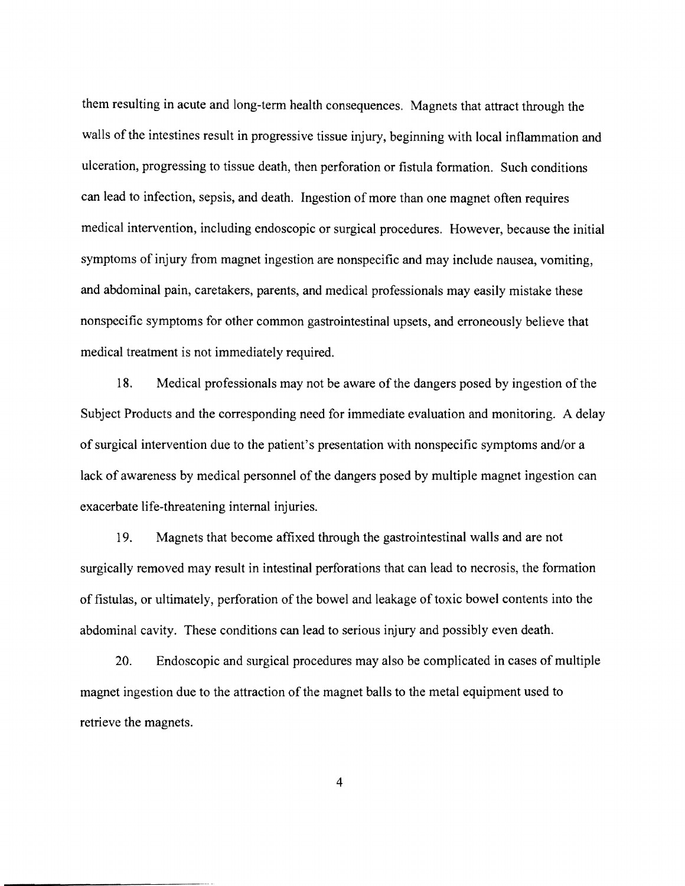them resulting in acute and long-term health consequences. Magnets that attract through the walls of the intestines result in progressive tissue injury, beginning with local inflammation and ulceration, progressing to tissue death, then perforation or fistula formation. Such conditions can lead to infection, sepsis, and death. Ingestion of more than one magnet often requires medical intervention, including endoscopic or surgical procedures. However, because the initial symptoms of injury from magnet ingestion are nonspecific and may include nausea, vomiting, and abdominal pain, caretakers, parents, and medical professionals may easily mistake these nonspecific symptoms for other common gastrointestinal upsets, and erroneously believe that medical treatment is not immediately required.

18. Medical professionals may not be aware of the dangers posed by ingestion ofthe Subject Products and the corresponding need for immediate evaluation and monitoring. A delay of surgical intervention due to the patient's presentation with nonspecific symptoms and/or a lack of awareness by medical personnel of the dangers posed by multiple magnet ingestion can exacerbate life-threatening internal injuries.

19. Magnets that become affixed through the gastrointestinal walls and are not surgically removed may result in intestinal perforations that can lead to necrosis, the formation of fistulas, or ultimately, perforation of the bowel and leakage of toxic bowel contents into the abdominal cavity. These conditions can lead to serious injury and possibly even death.

20. Endoscopic and surgical procedures may also be complicated in cases of mUltiple magnet ingestion due to the attraction of the magnet balls to the metal equipment used to retrieve the magnets.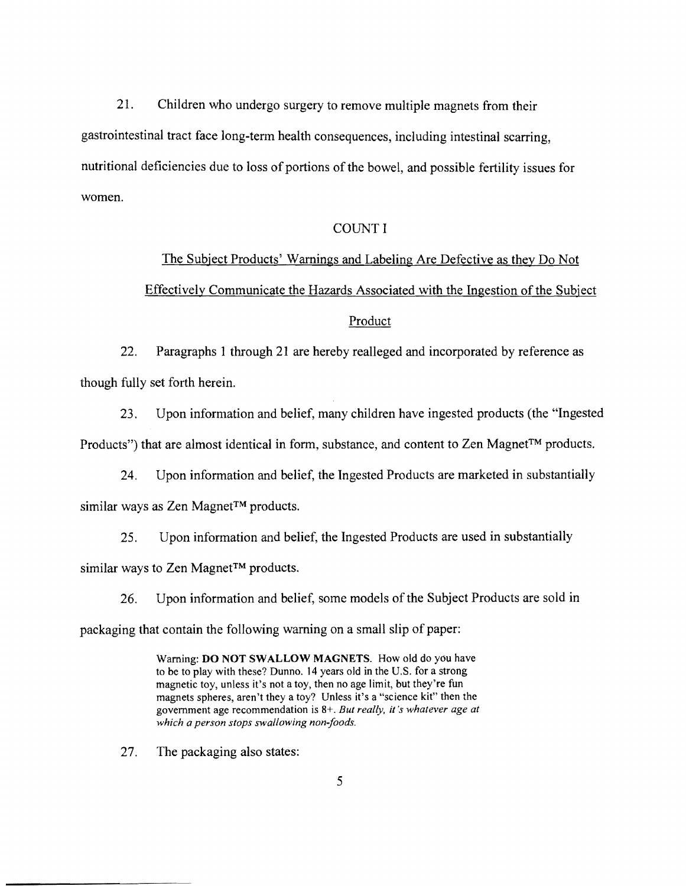21. Children who undergo surgery to remove multiple magnets from their gastrointestinal tract face long-term health consequences, including intestinal scarring, nutritional deficiencies due to loss of portions of the bowel, and possible fertility issues for women.

#### COUNT I

# The Subject Products' Warnings and Labeling Are Defective as they Do Not Effectively Communicate the Hazards Associated with the Ingestion of the Subject

# Product

22. Paragraphs 1 through 21 are hereby realleged and incorporated by reference as though fully set forth herein.

23. Upon information and belief, many children have ingested products (the "Ingested Products") that are almost identical in form, substance, and content to Zen Magnet™ products.

24. Upon information and belief, the Ingested Products are marketed in substantially similar ways as Zen Magnet™ products.

25. Upon information and belief, the Ingested Products are used in substantially similar ways to Zen Magnet™ products.

26. Upon information and belief, some models of the Subject Products are sold in packaging that contain the following warning on a small slip of paper:

> Warning: DO NOT SWALLOW MAGNETS. How old do you have to be to play with these? Dunno. 14 years old in the U.S. for a strong magnetic toy, unless it's not a toy, then no age limit, but they're fun magnets spheres, aren't they a toy? Unless it's a "science kit" then the government age recommendation is 8+. *But really, it's whatever age at which a person stops swallowing non-foods.*

27. The packaging also states: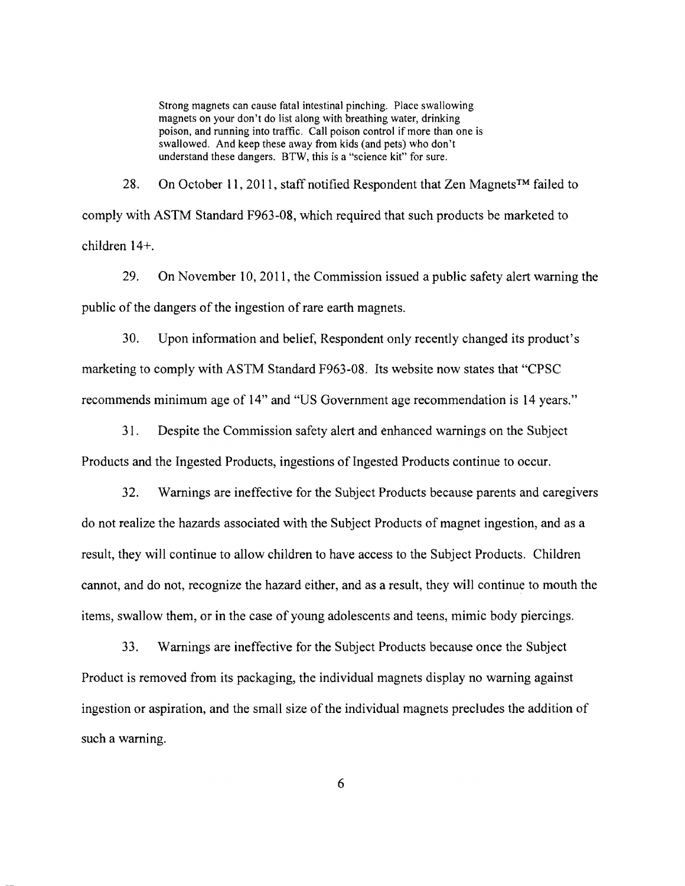Strong magnets can cause fatal intestinal pinching. Place swallowing magnets on your don't do list along with breathing water, drinking poison, and running into traffic. Call poison control if more than one is swallowed. And keep these away from kids (and pets) who don't understand these dangers. BTW, this is a "science kit" for sure.

28. On October 11, 2011, staff notified Respondent that Zen Magnets<sup>TM</sup> failed to comply with ASTM Standard F963-08, which required that such products be marketed to children 14+.

29. On November 10, **2011,** the Commission issued a public safety alert warning the public of the dangers of the ingestion of rare earth magnets.

30. Upon information and belief, Respondent only recently changed its product's marketing to comply with ASTM Standard F963-08. Its website now states that "CPSC recommends minimum age of 14" and "US Government age recommendation is 14 years."

31. Despite the Commission safety alert and enhanced warnings on the Subject Products and the Ingested Products, ingestions of Ingested Products continue to occur.

32. Warnings are ineffective for the Subject Products because parents and caregivers do not realize the hazards associated with the Subject Products of magnet ingestion, and as a result, they will continue to allow children to have access to the Subject Products. Children cannot, and do not, recognize the hazard either, and as a result, they will continue to mouth the items, swallow them, or in the case of young adolescents and teens, mimic body piercings.

33. Warnings are ineffective for the Subject Products because once the Subject Product is removed from its packaging, the individual magnets display no warning against ingestion or aspiration, and the small size of the individual magnets precludes the addition of such a warning.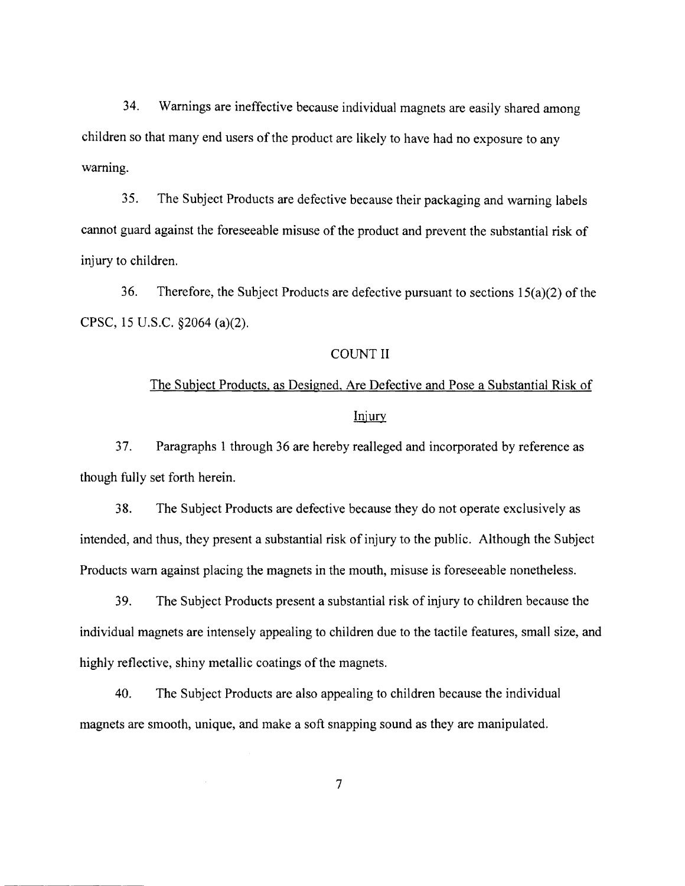34. Warnings are ineffective because individual magnets are easily shared among children so that many end users of the product are likely to have had no exposure to any warning.

35. The Subject Products are defective because their packaging and warning labels cannot guard against the foreseeable misuse of the product and prevent the substantial risk of injury to children.

36. Therefore, the Subject Products are defective pursuant to sections  $15(a)(2)$  of the CPSC, 15 U.S.C. §2064 (a)(2).

#### COUNT II

# The Subject Products, as Designed, Are Defective and Pose a Substantial Risk of Injury

37. Paragraphs 1 through 36 are hereby realleged and incorporated by reference as though fully set forth herein.

38. The Subject Products are defective because they do not operate exclusively as intended, and thus, they present a substantial risk of injury to the public. Although the Subject Products warn against placing the magnets in the mouth, misuse is foreseeable nonetheless.

39. The Subject Products present a substantial risk of injury to children because the individual magnets are intensely appealing to children due to the tactile features, small size, and highly reflective, shiny metallic coatings of the magnets.

40. The Subject Products are also appealing to children because the individual magnets are smooth, unique, and make a soft snapping sound as they are manipulated.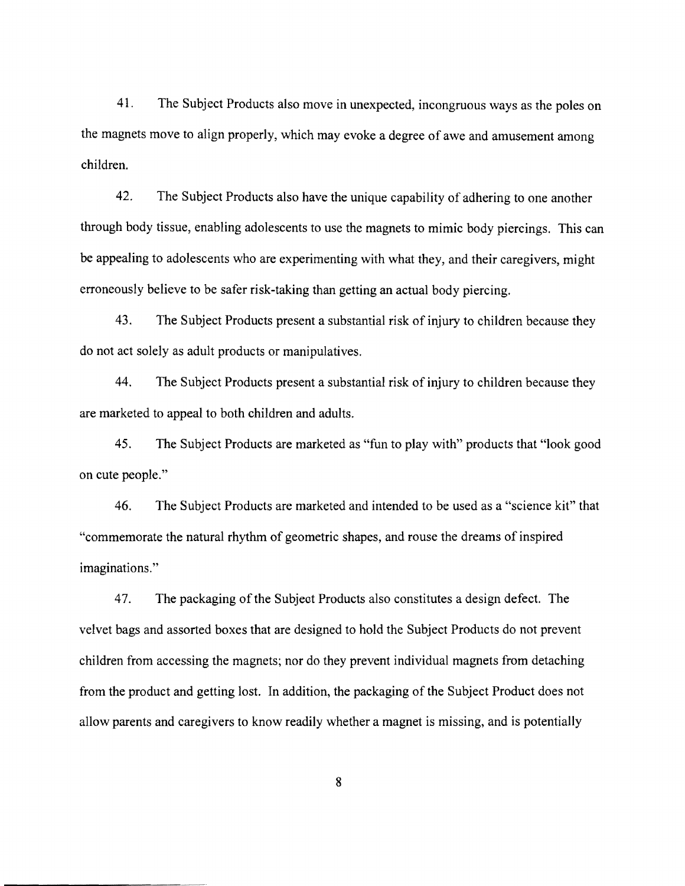41. The Subject Products also move in unexpected, incongruous ways as the poles on the magnets move to align properly, which may evoke a degree of awe and amusement among children.

42. The Subject Products also have the unique capability of adhering to one another through body tissue, enabling adolescents to use the magnets to mimic body piercings. This can be appealing to adolescents who are experimenting with what they, and their caregivers, might erroneously believe to be safer risk-taking than getting an actual body piercing.

43. The Subject Products present a substantial risk of injury to children because they do not act solely as adult products or manipulatives.

44. The Subject Products present a substantial risk of injury to children because they are marketed to appeal to both children and adults.

45. The Subject Products are marketed as "fun to play with" products that "look good on cute people."

46. The Subject Products are marketed and intended to be used as a "science kit" that "commemorate the natural rhythm of geometric shapes, and rouse the dreams ofinspired imaginations."

47. The packaging ofthe Subjeot Products also constitutes a design defect. The velvet bags and assorted boxes that are designed to hold the Subject Products do not prevent children from accessing the magnets; nor do they prevent individual magnets from detaching from the product and getting lost. In addition, the packaging of the Subject Product does not allow parents and caregivers to know readily whether a magnet is missing, and is potentially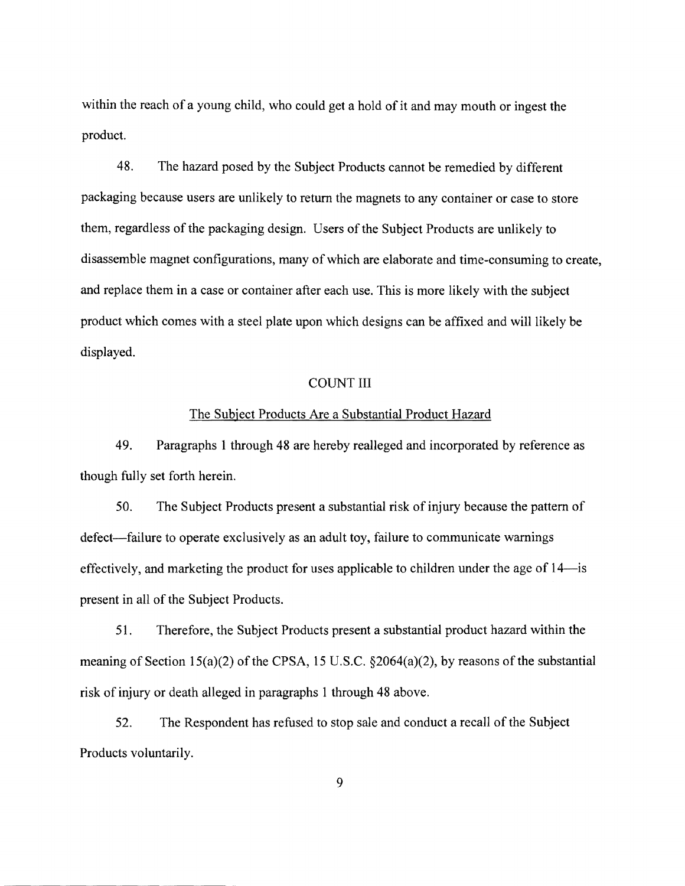within the reach of a young child, who could get a hold of it and may mouth or ingest the product.

48. The hazard posed by the Subject Products cannot be remedied by different packaging because users are unlikely to return the magnets to any container or case to store them, regardless of the packaging design. Users of the Subject Products are unlikely to disassemble magnet configurations, many of which are elaborate and time-consuming to create, and replace them in a case or container after each use. This is more likely with the subject product which comes with a steel plate upon which designs can be affixed and will likely be displayed.

#### COUNT III

#### The Subject Products Are a Substantial Product Hazard

49. Paragraphs 1 through 48 are hereby realleged and incorporated by reference as though fully set forth herein.

50. The Subject Products present a substantial risk of injury because the pattern of defect-failure to operate exclusively as an adult toy, failure to communicate warnings effectively, and marketing the product for uses applicable to children under the age of 14-is present in all of the Subject Products.

51. Therefore, the Subject Products present a substantial product hazard within the meaning of Section 15(a)(2) of the CPSA, 15 U.S.C.  $\S2064(a)(2)$ , by reasons of the substantial risk of injury or death alleged in paragraphs 1 through 48 above.

52. The Respondent has refused to stop sale and conduct a recall of the Subject Products voluntarily.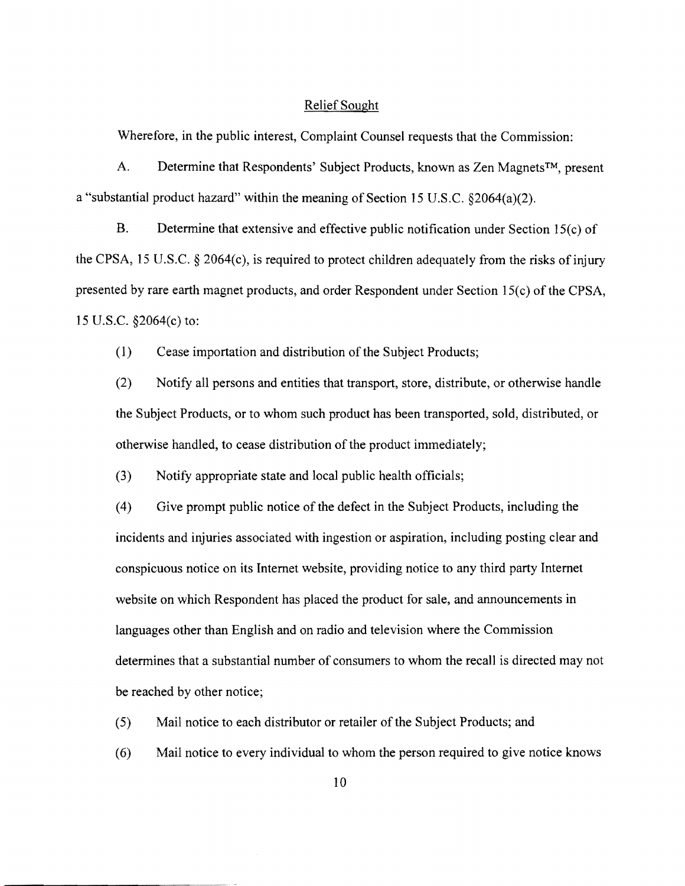#### Relief Sought

Wherefore, in the public interest, Complaint Counsel requests that the Commission:

A. Determine that Respondents' Subject Products, known as Zen Magnets™, present a "substantial product hazard" within the meaning of Section 15 U.S.C. §2064(a)(2).

B. Determine that extensive and effective public notification under Section 15(c) of the CPSA, 15 U.S.C. § 2064(c), is required to protect children adequately from the risks of injury presented by rare earth magnet products, and order Respondent under Section 15(c) of the CPSA, 15 U.S.C. §2064(c) to:

(1) Cease importation and distribution of the Subject Products;

(2) Notify all persons and entities that transport, store, distribute, or otherwise handle the Subject Products, or to whom such product has been transported, sold, distributed, or otherwise handled, to cease distribution of the product immediately;

(3) Notify appropriate state and local public health officials;

(4) Give prompt public notice of the defect in the Subject Products, including the incidents and injuries associated with ingestion or aspiration, including posting clear and conspicuous notice on its Internet website, providing notice to any third party Internet website on which Respondent has placed the product for sale, and announcements in languages other than English and on radio and television where the Commission determines that a substantial number of consumers to whom the recall is directed may not be reached by other notice;

(5) Mail notice to each distributor or retailer of the Subject Products; and

(6) Mail notice to every individual to whom the person required to give notice knows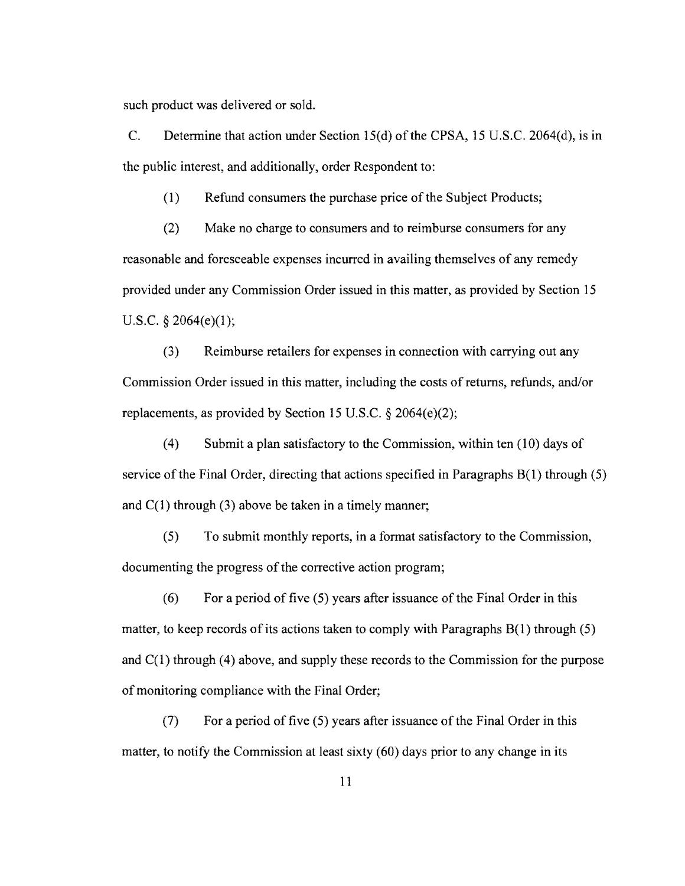such product was delivered or sold.

C. Determine that action under Section 15(d) of the CPSA, 15 U.S.C. 2064(d), is in the public interest, and additionally, order Respondent to:

(1) Refund consumers the purchase price of the Subject Products;

(2) Make no charge to consumers and to reimburse consumers for any reasonable and foreseeable expenses incurred in availing themselves of any remedy provided under any Commission Order issued in this matter, as provided by Section 15 U.S.C. § 2064(e)(1);

(3) Reimburse retailers for expenses in connection with carrying out any Commission Order issued in this matter, including the costs of returns, refunds, and/or replacements, as provided by Section 15 U.S.C. § 2064(e)(2);

(4) Submit a plan satisfactory to the Commission, within ten (10) days of service of the Final Order, directing that actions specified in Paragraphs B(1) through (5) and  $C(1)$  through (3) above be taken in a timely manner;

(5) To submit monthly reports, in a format satisfactory to the Commission, documenting the progress of the corrective action program;

 $(6)$  For a period of five  $(5)$  years after issuance of the Final Order in this matter, to keep records of its actions taken to comply with Paragraphs  $B(1)$  through (5) and C(1) through (4) above, and supply these records to the Commission for the purpose of monitoring compliance with the Final Order;

 $(7)$  For a period of five (5) years after issuance of the Final Order in this matter, to notify the Commission at least sixty (60) days prior to any change in its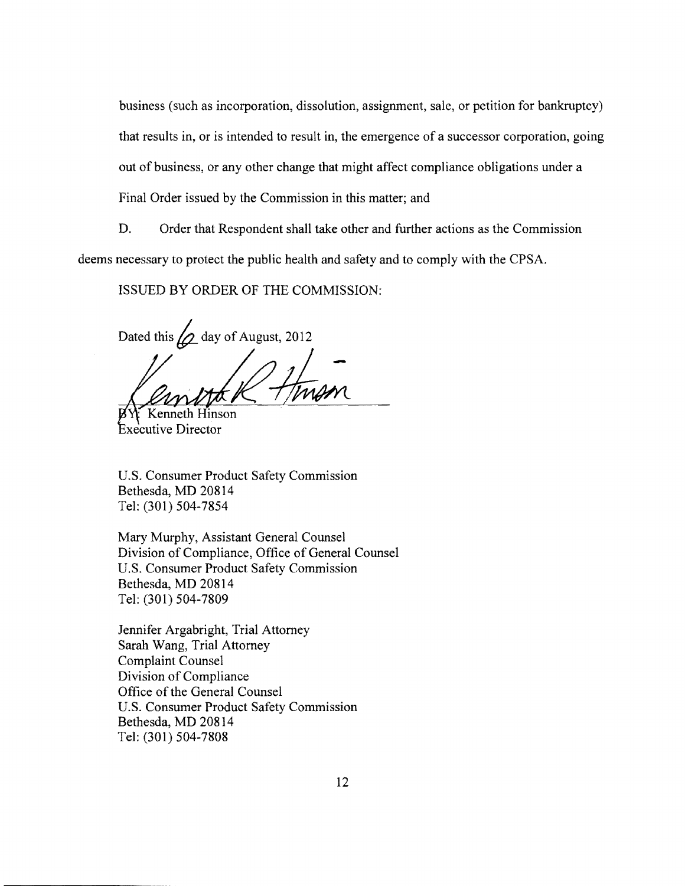business (such as incorporation, dissolution, assignment, sale, or petition for bankruptcy) that results in, or is intended to result in, the emergence of a successor corporation, going out of business, or any other change that might affect compliance obligations under a Final Order issued by the Commission in this matter; and

D. Order that Respondent shall take other and further actions as the Commission deems necessary to protect the public health and safety and to comply with the CPSA.

ISSUED BY ORDER OF THE COMMISSION:

Dated this  $\omega$  day of August, 2012

-

Iinson Executive Director

U.S. Consumer Product Safety Commission Bethesda, MD 20814 Tel: (301) 504-7854

Mary Murphy, Assistant General Counsel Division of Compliance, Office of General Counsel U.S. Consumer Product Safety Commission Bethesda, MD 20814 Tel: (301) 504-7809

Jennifer Argabright, Trial Attorney Sarah Wang, Trial Attorney Complaint Counsel Division of Compliance Office of the General Counsel U.S. Consumer Product Safety Commission Bethesda, MD 20814 Tel: (301) 504-7808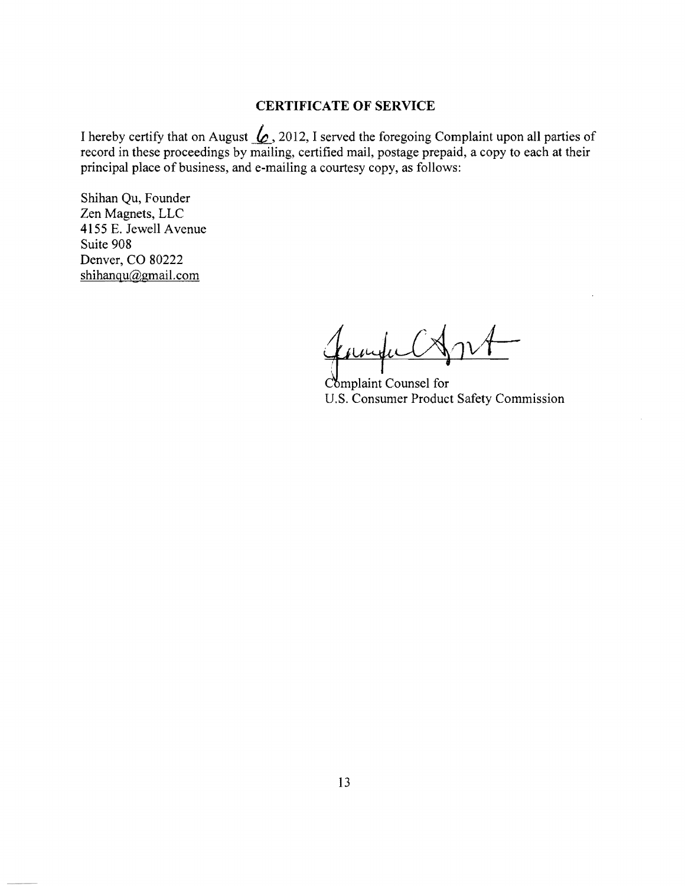#### **CERTIFICATE OF SERVICE**

I hereby certify that on August  $\&$ , 2012, I served the foregoing Complaint upon all parties of record in these proceedings by mailing, certified mail, postage prepaid, a copy to each at their principal place of business, and e-mailing a courtesy copy, as follows:

Shihan Qu, Founder Zen Magnets, LLC 4155 E. Jewell Avenue Suite 908 Denver, CO 80222 shihanqu@gmail.com

t*uiM1*vt-

Complaint Counsel for U.S. Consumer Product Safety Commission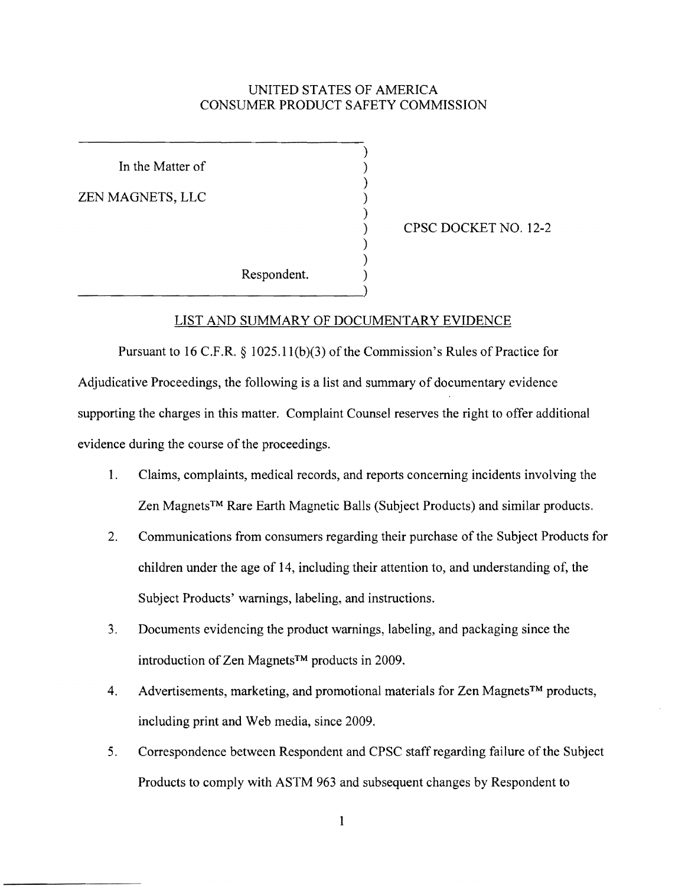## UNITED STATES OF AMERICA CONSUMER PRODUCT SAFETY COMMISSION

)

)

)

) )

In the Matter of

ZEN MAGNETS, LLC

) CPSC DOCKET NO. 12-2

Respondent. )

-------------------------------)

## LIST AND SUMMARY OF DOCUMENTARY EVIDENCE

Pursuant to 16 C.F.R.  $\S$  1025.11(b)(3) of the Commission's Rules of Practice for Adjudicative Proceedings, the following is a list and summary of documentary evidence supporting the charges in this matter. Complaint Counsel reserves the right to offer additional evidence during the course of the proceedings.

- 1. Claims, complaints, medical records, and reports concerning incidents involving the Zen Magnets™ Rare Earth Magnetic Balls (Subject Products) and similar products.
- 2. Communications from consumers regarding their purchase of the Subject Products for children under the age of 14, including their attention to, and understanding of, the Subject Products' warnings, labeling, and instructions.
- 3. Documents evidencing the product warnings, labeling, and packaging since the introduction of Zen MagnetsTM products in 2009.
- 4. Advertisements, marketing, and promotional materials for Zen Magnets<sup>TM</sup> products, including print and Web media, since 2009.
- 5. Correspondence between Respondent and CPSC staff regarding failure of the Subject Products to comply with ASTM 963 and subsequent changes by Respondent to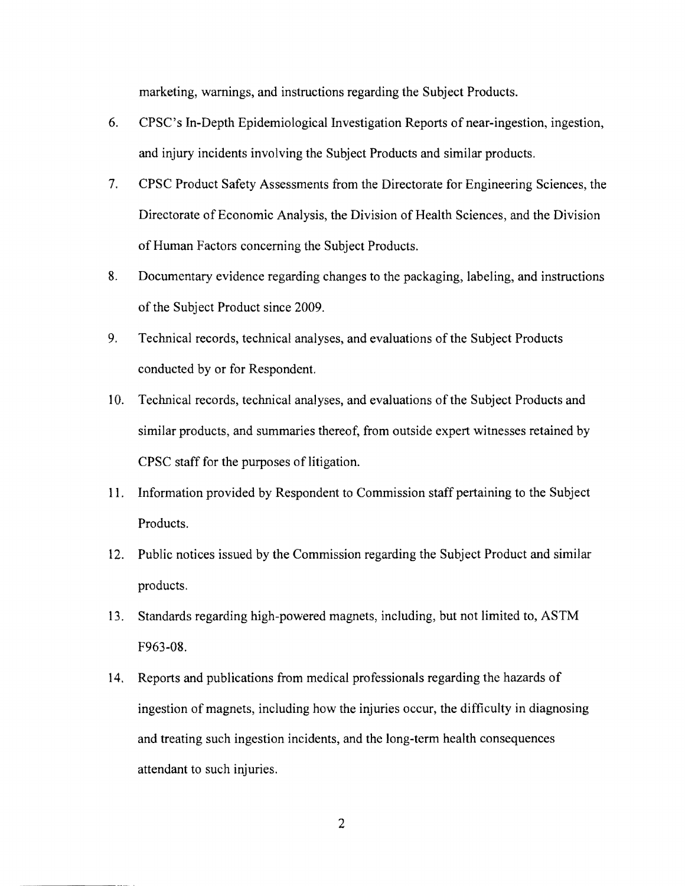marketing, warnings, and instructions regarding the Subject Products.

- 6. CPSC's In-Depth Epidemiological Investigation Reports of near-ingestion, ingestion, and injury incidents involving the Subject Products and similar products.
- 7. CPSC Product Safety Assessments from the Directorate for Engineering Sciences, the Directorate of Economic Analysis, the Division of Health Sciences, and the Division of Human Factors concerning the Subject Products.
- 8. Documentary evidence regarding changes to the packaging, labeling, and instructions of the Subject Product since 2009.
- 9. Technical records, technical analyses, and evaluations of the Subject Products conducted by or for Respondent.
- 10. Technical records, technical analyses, and evaluations of the Subject Products and similar products, and summaries thereof, from outside expert witnesses retained by CPSC staff for the purposes of litigation.
- 11. Information provided by Respondent to Commission staff pertaining to the Subject Products.
- 12. Public notices issued by the Commission regarding the Subject Product and similar products.
- 13. Standards regarding high-powered magnets, including, but not limited to, ASTM F963-08.
- 14. Reports and publications from medical professionals regarding the hazards of ingestion of magnets, including how the injuries occur, the difficulty in diagnosing and treating such ingestion incidents, and the long-term health consequences attendant to such injuries.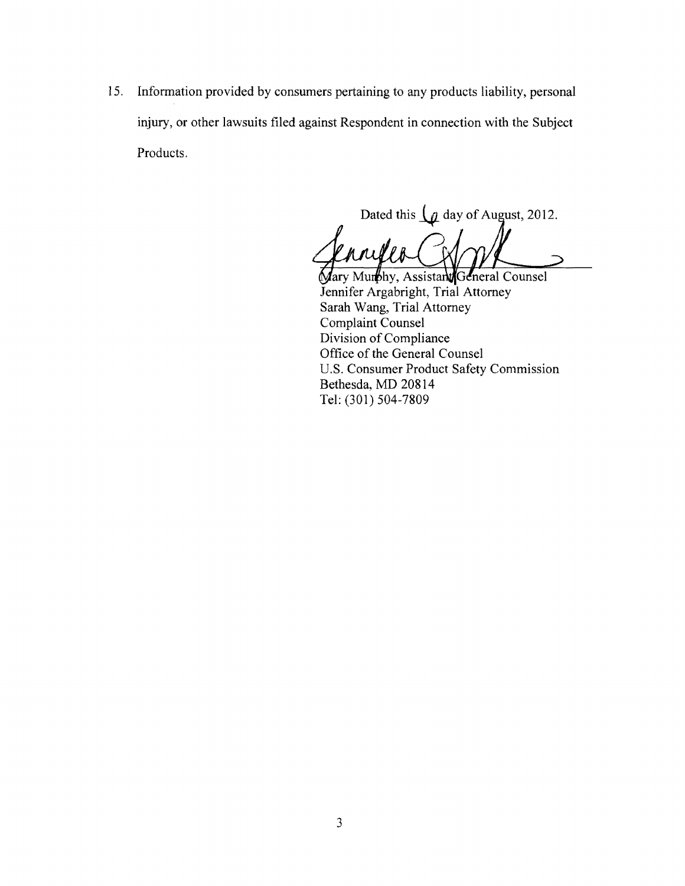15. Information provided by consumers pertaining to any products liability, personal injury, or other lawsuits filed against Respondent in connection with the Subject Products.

Dated this  $\int$  day of August, 2012.

Mary Mumbhy, Assistant General Counsel Jennifer Argabright, Trial Attorney Sarah Wang, Trial Attorney Complaint Counsel Division of Compliance Office of the General Counsel U.S. Consumer Product Safety Commission Bethesda, MD 20814 Tel: (301) 504-7809